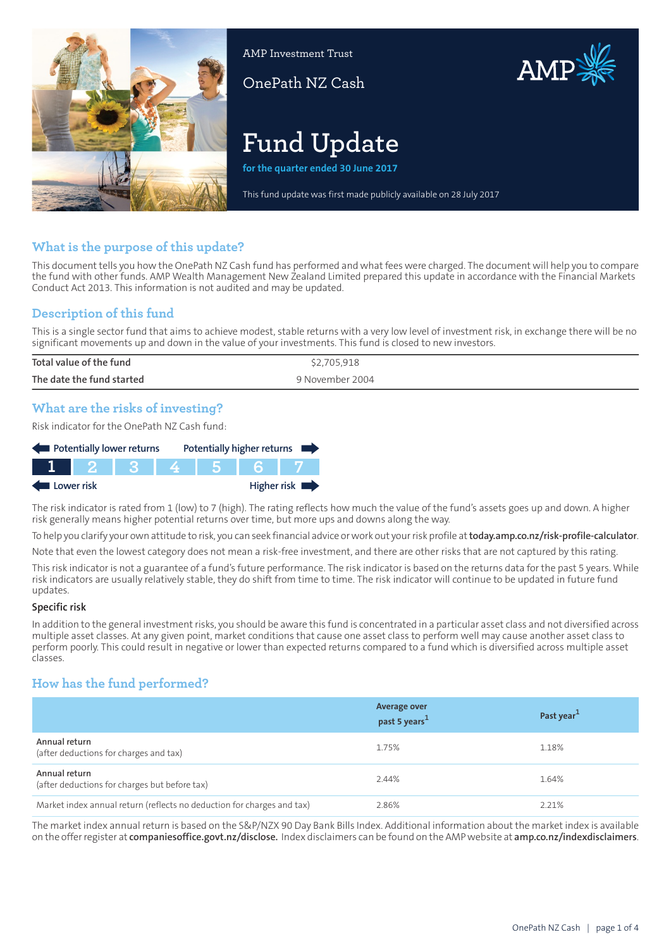

AMP Investment Trust

OnePath NZ Cash



# **Fund Update**

**for the quarter ended 30 June 2017**

This fund update was first made publicly available on 28 July 2017

## **What is the purpose of this update?**

This document tells you how the OnePath NZ Cash fund has performed and what fees were charged. The document will help you to compare the fund with other funds. AMP Wealth Management New Zealand Limited prepared this update in accordance with the Financial Markets Conduct Act 2013. This information is not audited and may be updated.

## **Description of this fund**

This is a single sector fund that aims to achieve modest, stable returns with a very low level of investment risk, in exchange there will be no significant movements up and down in the value of your investments. This fund is closed to new investors.

| Total value of the fund   | \$2,705,918     |
|---------------------------|-----------------|
| The date the fund started | 9 November 2004 |
|                           |                 |

## **What are the risks of investing?**

Risk indicator for the OnePath NZ Cash fund:

| Potentially lower returns |  |  |  | Potentially higher returns |                            |
|---------------------------|--|--|--|----------------------------|----------------------------|
|                           |  |  |  |                            |                            |
| Lower risk                |  |  |  |                            | Higher risk $\blacksquare$ |

The risk indicator is rated from 1 (low) to 7 (high). The rating reflects how much the value of the fund's assets goes up and down. A higher risk generally means higher potential returns over time, but more ups and downs along the way.

To help you clarify your own attitude to risk, you can seek financial advice orwork out yourrisk profile at**[today.amp.co.nz/risk-profile-calculator](http://today.amp.co.nz/risk-profile-calculator)**.

Note that even the lowest category does not mean a risk-free investment, and there are other risks that are not captured by this rating.

This risk indicator is not a guarantee of a fund's future performance. The risk indicator is based on the returns data for the past 5 years. While risk indicators are usually relatively stable, they do shift from time to time. The risk indicator will continue to be updated in future fund updates.

#### **Specific risk**

In addition to the general investmentrisks, you should be aware this fund is concentrated in a particular asset class and not diversified across multiple asset classes. At any given point, market conditions that cause one asset class to perform well may cause another asset class to perform poorly. This could result in negative or lower than expected returns compared to a fund which is diversified across multiple asset classes.

## **How has the fund performed?**

|                                                                        | <b>Average over</b><br>past 5 years <sup>1</sup> | Past year <sup>1</sup> |
|------------------------------------------------------------------------|--------------------------------------------------|------------------------|
| Annual return<br>(after deductions for charges and tax)                | 1.75%                                            | 1.18%                  |
| Annual return<br>(after deductions for charges but before tax)         | 2.44%                                            | 1.64%                  |
| Market index annual return (reflects no deduction for charges and tax) | 2.86%                                            | 2.21%                  |

The market index annual return is based on the S&P/NZX 90 Day Bank Bills Index. Additional information about the market index is available on the offerregister at **[companiesoffice.govt.nz/disclose.](http://companiesoffice.govt.nz/disclose)** Index disclaimers can be found on the AMP website at **[amp.co.nz/indexdisclaimers](http://amp.co.nz/indexdisclaimers)**.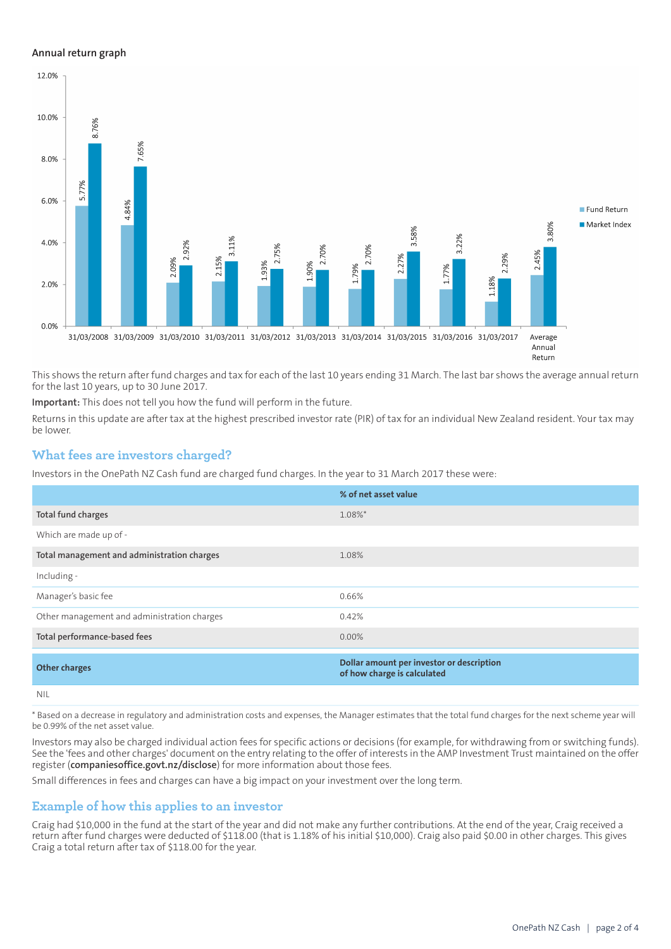#### **Annual return graph**



This shows the return after fund charges and tax for each of the last 10 years ending 31 March. The last bar shows the average annual return for the last 10 years, up to 30 June 2017.

**Important:** This does not tell you how the fund will perform in the future.

Returns in this update are after tax at the highest prescribed investor rate (PIR) of tax for an individual New Zealand resident. Your tax may be lower.

#### **What fees are investors charged?**

Investors in the OnePath NZ Cash fund are charged fund charges. In the year to 31 March 2017 these were:

|                                             | % of net asset value                                                     |
|---------------------------------------------|--------------------------------------------------------------------------|
| Total fund charges                          | 1.08%*                                                                   |
| Which are made up of -                      |                                                                          |
| Total management and administration charges | 1.08%                                                                    |
| Including -                                 |                                                                          |
| Manager's basic fee                         | 0.66%                                                                    |
| Other management and administration charges | 0.42%                                                                    |
| Total performance-based fees                | $0.00\%$                                                                 |
| <b>Other charges</b>                        | Dollar amount per investor or description<br>of how charge is calculated |
| nil                                         |                                                                          |

\* Based on a decrease in regulatory and administration costs and expenses, the Manager estimates that the total fund charges for the next scheme year will be 0.99% of the net asset value.

Investors may also be charged individual action fees for specific actions or decisions (for example, for withdrawing from or switching funds). See the 'fees and other charges' document on the entry relating to the offer of interests in the AMP Investment Trust maintained on the offer register (**[companiesoffice.govt.nz/disclose](http://companiesoffice.govt.nz/disclose)**) for more information about those fees.

Small differences in fees and charges can have a big impact on your investment over the long term.

#### **Example of how this applies to an investor**

Craig had \$10,000 in the fund at the start of the year and did not make any further contributions. At the end of the year, Craig received a return after fund charges were deducted of \$118.00 (that is 1.18% of his initial \$10,000). Craig also paid \$0.00 in other charges. This gives Craig a total return after tax of \$118.00 for the year.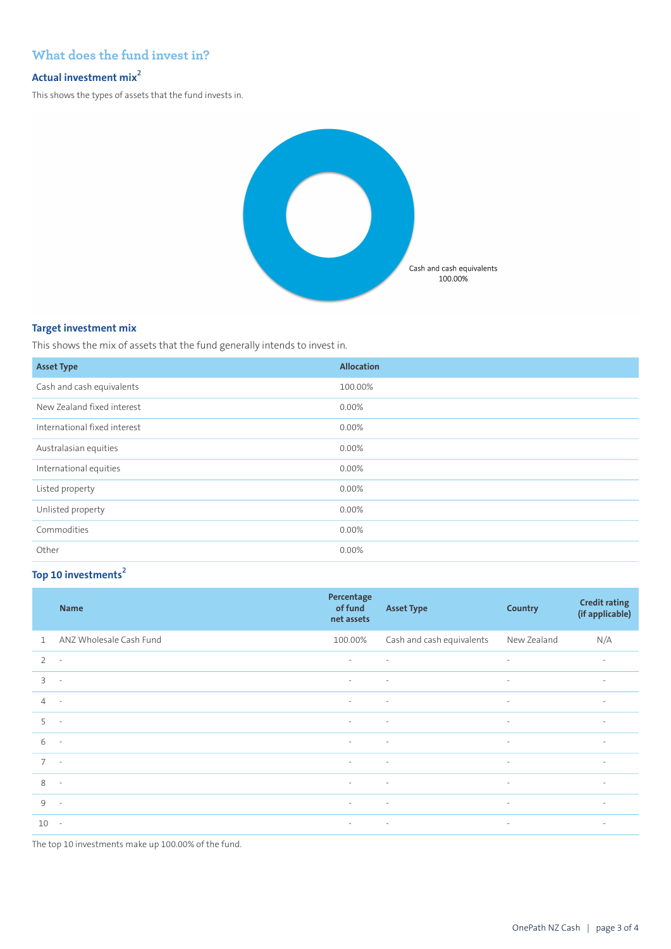## **What does the fund invest in?**

# **Actual investment mix<sup>2</sup>**

This shows the types of assets that the fund invests in.



#### **Target investment mix**

This shows the mix of assets that the fund generally intends to invest in.

| <b>Asset Type</b>            | <b>Allocation</b> |
|------------------------------|-------------------|
| Cash and cash equivalents    | 100.00%           |
| New Zealand fixed interest   | 0.00%             |
| International fixed interest | 0.00%             |
| Australasian equities        | 0.00%             |
| International equities       | 0.00%             |
| Listed property              | 0.00%             |
| Unlisted property            | 0.00%             |
| Commodities                  | 0.00%             |
| Other                        | 0.00%             |

## **Top 10 investments<sup>2</sup>**

|                | <b>Name</b>              | Percentage<br>of fund<br>net assets | <b>Asset Type</b>         | <b>Country</b>           | <b>Credit rating</b><br>(if applicable) |
|----------------|--------------------------|-------------------------------------|---------------------------|--------------------------|-----------------------------------------|
| $\mathbf{1}$   | ANZ Wholesale Cash Fund  | 100.00%                             | Cash and cash equivalents | New Zealand              | N/A                                     |
| $\overline{2}$ | $\overline{\phantom{a}}$ | $\sim$                              | $\sim$                    | $\overline{\phantom{a}}$ | $\overline{\phantom{a}}$                |
| $\overline{3}$ | $\overline{\phantom{a}}$ | $\sim$                              | $\overline{\phantom{a}}$  | $\sim$                   | $\overline{\phantom{a}}$                |
| $\overline{4}$ | $\overline{\phantom{a}}$ | $\sim$                              | $\overline{\phantom{a}}$  | $\sim$                   | $\sim$                                  |
| 5              | $\sim$                   | $\sim$                              | $\sim$                    | $\sim$                   | $\sim$                                  |
| 6              | $\overline{\phantom{a}}$ | $\sim$                              | $\sim$                    | $\sim$                   | $\sim$                                  |
| $\overline{7}$ | $\sim$                   | $\sim$                              | $\sim$                    | $\sim$                   | $\overline{\phantom{a}}$                |
| 8              | $\sim$                   | $\overline{\phantom{a}}$            | $\overline{\phantom{a}}$  | $\sim$                   | $\overline{\phantom{a}}$                |
| 9              | $\sim$                   | $\sim$                              | $\sim 100$ km s $^{-1}$   | $\sim$                   | $\sim$                                  |
| $10 -$         |                          | $\sim$                              | $\sim 10^{-10}$ m $^{-1}$ | $\sim$                   | $\sim$                                  |

The top 10 investments make up 100.00% of the fund.